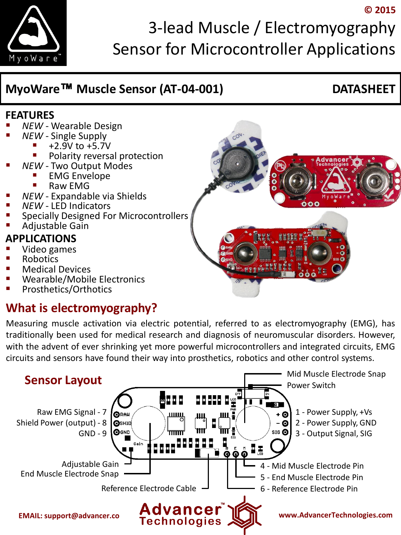

# 3-lead Muscle / Electromyography Sensor for Microcontroller Applications

# **MyoWare™ Muscle Sensor (AT-04-001) DATASHEET**

**© 2015**

#### **FEATURES**

- *NEW* Wearable Design
- *NEW* Single Supply
	- +2.9V to +5.7V
	- Polarity reversal protection
- *NEW* Two Output Modes
	- EMG Envelope
		- Raw EMG
- *NEW* Expandable via Shields
- *NEW* LED Indicators
- Specially Designed For Microcontrollers
- Adjustable Gain

#### **APPLICATIONS**

- Video games
- Robotics
- Medical Devices
- Wearable/Mobile Electronics
- Prosthetics/Orthotics

# **What is electromyography?**

Measuring muscle activation via electric potential, referred to as electromyography (EMG), has traditionally been used for medical research and diagnosis of neuromuscular disorders. However, with the advent of ever shrinking yet more powerful microcontrollers and integrated circuits, EMG circuits and sensors have found their way into prosthetics, robotics and other control systems.



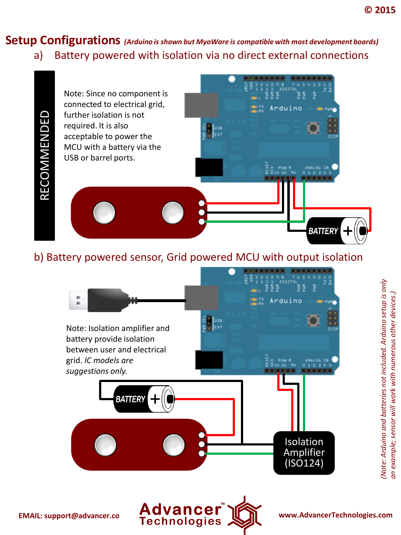#### **Setup Configurations** *(Arduino is shown but MyoWare is compatible with most development boards)*  a) Battery powered with isolation via no direct external connections



#### b) Battery powered sensor, Grid powered MCU with output isolation



*(Note: Arduino and batteries not included. Arduino setup is only an example; sensor will work with numerous other devices.)*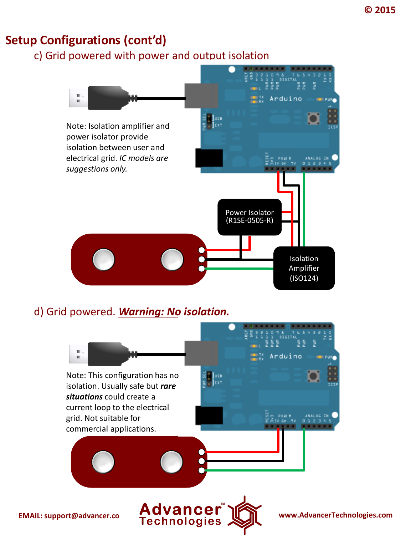#### **Setup Configurations (cont'd)**

c) Grid powered with power and output isolation



#### d) Grid powered. *Warning: No isolation.*

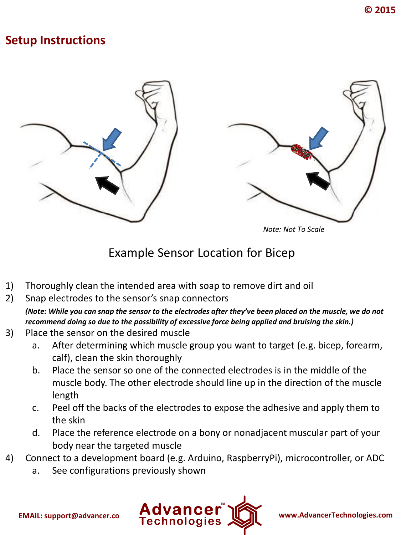#### **Setup Instructions**





*Note: Not To Scale*

#### Example Sensor Location for Bicep

- 1) Thoroughly clean the intended area with soap to remove dirt and oil
- 2) Snap electrodes to the sensor's snap connectors
	- *(Note: While you can snap the sensor to the electrodes after they've been placed on the muscle, we do not recommend doing so due to the possibility of excessive force being applied and bruising the skin.)*
- 3) Place the sensor on the desired muscle
	- a. After determining which muscle group you want to target (e.g. bicep, forearm, calf), clean the skin thoroughly
	- b. Place the sensor so one of the connected electrodes is in the middle of the muscle body. The other electrode should line up in the direction of the muscle length
	- c. Peel off the backs of the electrodes to expose the adhesive and apply them to the skin
	- d. Place the reference electrode on a bony or nonadjacent muscular part of your body near the targeted muscle
- 4) Connect to a development board (e.g. Arduino, RaspberryPi), microcontroller, or ADC
	- a. See configurations previously shown

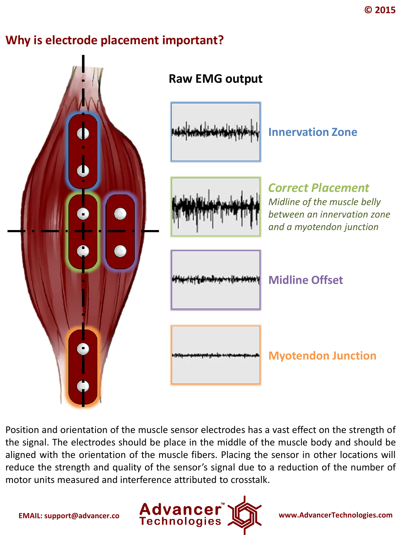### **Why is electrode placement important?**



Position and orientation of the muscle sensor electrodes has a vast effect on the strength of the signal. The electrodes should be place in the middle of the muscle body and should be aligned with the orientation of the muscle fibers. Placing the sensor in other locations will reduce the strength and quality of the sensor's signal due to a reduction of the number of motor units measured and interference attributed to crosstalk.

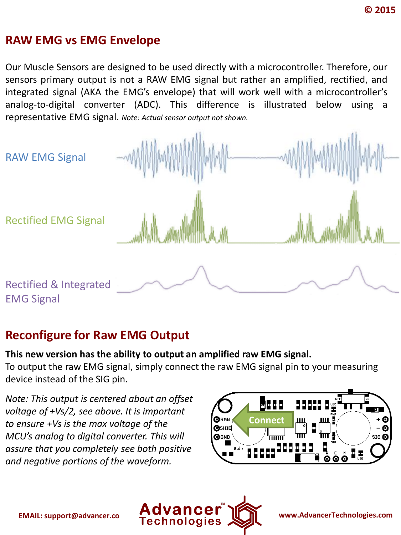#### **RAW EMG vs EMG Envelope**

Our Muscle Sensors are designed to be used directly with a microcontroller. Therefore, our sensors primary output is not a RAW EMG signal but rather an amplified, rectified, and integrated signal (AKA the EMG's envelope) that will work well with a microcontroller's analog-to-digital converter (ADC). This difference is illustrated below using a representative EMG signal. *Note: Actual sensor output not shown.*



#### **Reconfigure for Raw EMG Output**

#### **This new version has the ability to output an amplified raw EMG signal.**

To output the raw EMG signal, simply connect the raw EMG signal pin to your measuring device instead of the SIG pin.

*Note: This output is centered about an offset voltage of +Vs/2, see above. It is important to ensure +Vs is the max voltage of the MCU's analog to digital converter. This will assure that you completely see both positive and negative portions of the waveform.*



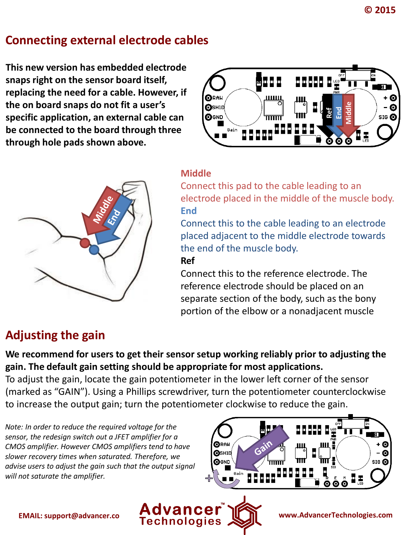### **Connecting external electrode cables**

**This new version has embedded electrode snaps right on the sensor board itself, replacing the need for a cable. However, if the on board snaps do not fit a user's specific application, an external cable can be connected to the board through three through hole pads shown above.** 





#### **Middle**

Connect this pad to the cable leading to an electrode placed in the middle of the muscle body. **End**

Connect this to the cable leading to an electrode placed adjacent to the middle electrode towards the end of the muscle body.

#### **Ref**

Connect this to the reference electrode. The reference electrode should be placed on an separate section of the body, such as the bony portion of the elbow or a nonadjacent muscle

# **Adjusting the gain**

**We recommend for users to get their sensor setup working reliably prior to adjusting the gain. The default gain setting should be appropriate for most applications.**

To adjust the gain, locate the gain potentiometer in the lower left corner of the sensor (marked as "GAIN"). Using a Phillips screwdriver, turn the potentiometer counterclockwise to increase the output gain; turn the potentiometer clockwise to reduce the gain.

*Note: In order to reduce the required voltage for the sensor, the redesign switch out a JFET amplifier for a CMOS amplifier. However CMOS amplifiers tend to have slower recovery times when saturated. Therefore, we advise users to adjust the gain such that the output signal will not saturate the amplifier.*